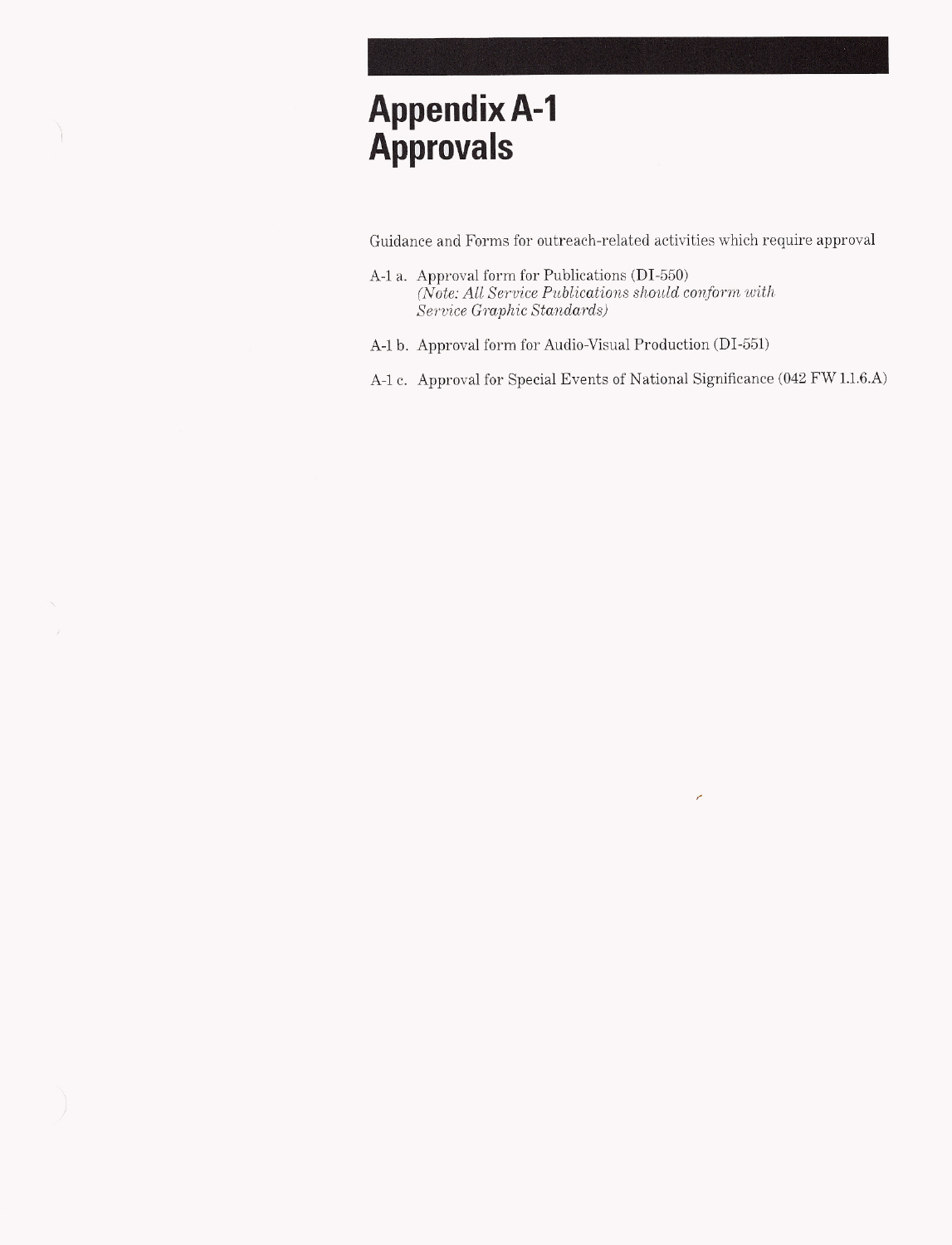# **Appendix A-1 Approvals**

 $\backslash$ 

Guidance and Forms for outreach-related activities which require approval

- A-1 a. Approval form for Publications (DI-550)  $\label{thm:1} (\bar{Note: All \ Service \ Publications \ should \ conform \ with}$ Service Graphic Standards)
- A-1 b. Approval form for Audio-Visual Production (DI-551)
- A-1 c. Approval for Special Events of National Significance (042 FW 1.1.6.A)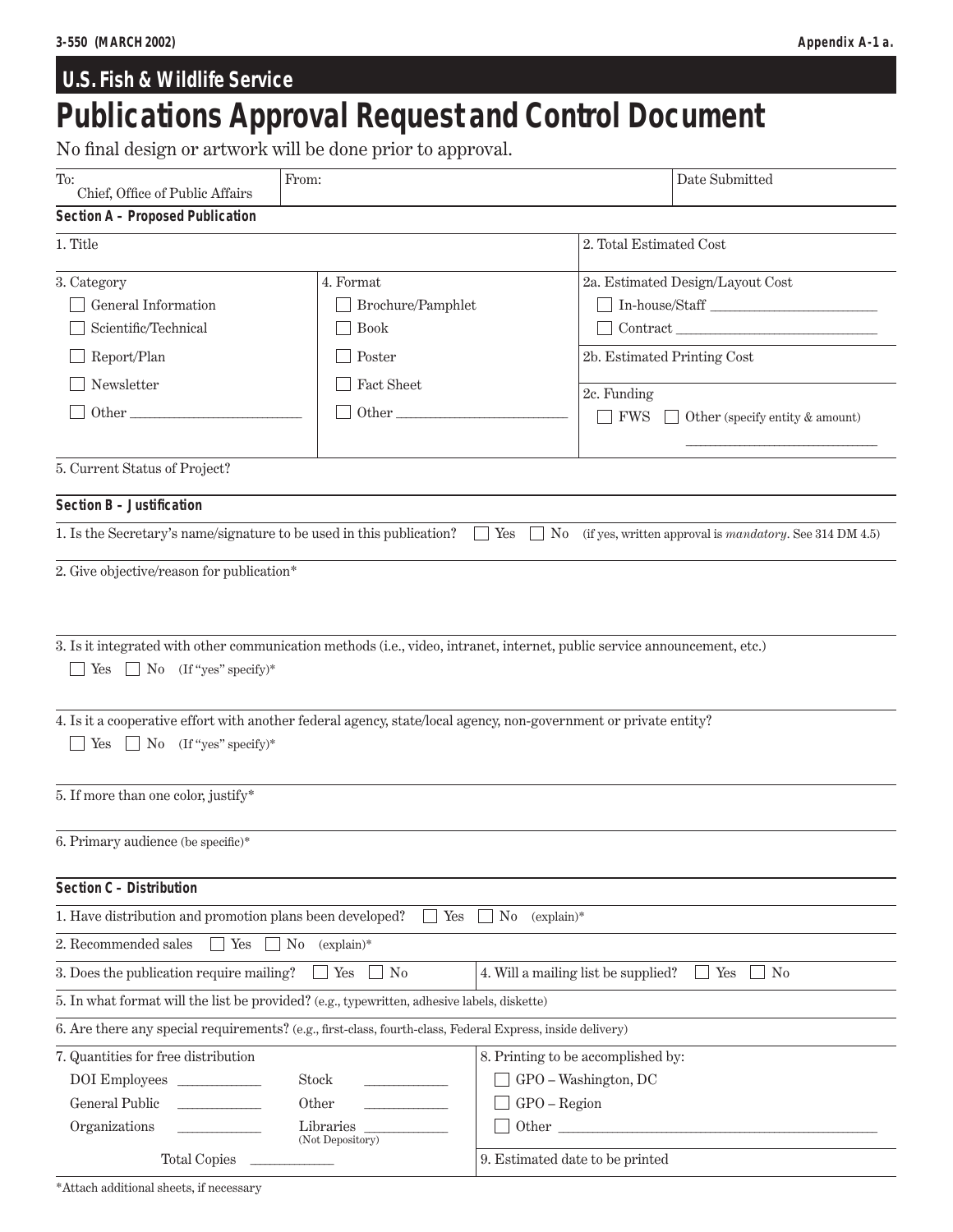# **U.S. Fish & Wildlife Service Publications Approval Request and Control Document**

No final design or artwork will be done prior to approval.

| To:<br>Chief, Office of Public Affairs                                                                                                                                                                                                                                                                                  | From:                                                                          |                                     |                                                                                                                                                                                                                                                                                                                   | Date Submitted                                                            |  |
|-------------------------------------------------------------------------------------------------------------------------------------------------------------------------------------------------------------------------------------------------------------------------------------------------------------------------|--------------------------------------------------------------------------------|-------------------------------------|-------------------------------------------------------------------------------------------------------------------------------------------------------------------------------------------------------------------------------------------------------------------------------------------------------------------|---------------------------------------------------------------------------|--|
| <b>Section A - Proposed Publication</b>                                                                                                                                                                                                                                                                                 |                                                                                |                                     |                                                                                                                                                                                                                                                                                                                   |                                                                           |  |
| 1. Title                                                                                                                                                                                                                                                                                                                |                                                                                | 2. Total Estimated Cost             |                                                                                                                                                                                                                                                                                                                   |                                                                           |  |
| 3. Category<br>4. Format<br>General Information<br>Brochure/Pamphlet<br>Scientific/Technical<br><b>Book</b><br>Report/Plan<br>Poster<br>Newsletter<br>Fact Sheet<br>$\begin{minipage}{.4\linewidth} Other \begin{tabular}{l} \hline \textbf{Other} \end{tabular} \end{minipage}$<br>Other                               |                                                                                |                                     | 2a. Estimated Design/Layout Cost<br>$\label{eq:In-house} \text{In-house/Staff} \xrightarrow{\hspace{0.5cm}}$<br>$\begin{minipage}{.4\linewidth} \begin{tabular}{l} \textbf{Contract} \end{tabular} \end{minipage}$<br>2b. Estimated Printing Cost<br>2c. Funding<br><b>FWS</b><br>Other (specify entity & amount) |                                                                           |  |
| 5. Current Status of Project?                                                                                                                                                                                                                                                                                           |                                                                                |                                     |                                                                                                                                                                                                                                                                                                                   |                                                                           |  |
| Section B - Justification                                                                                                                                                                                                                                                                                               |                                                                                |                                     |                                                                                                                                                                                                                                                                                                                   |                                                                           |  |
| 1. Is the Secretary's name/signature to be used in this publication? $\Box$ Yes                                                                                                                                                                                                                                         |                                                                                |                                     |                                                                                                                                                                                                                                                                                                                   | $\Box$ No (if yes, written approval is <i>mandatory</i> . See 314 DM 4.5) |  |
| 2. Give objective/reason for publication*                                                                                                                                                                                                                                                                               |                                                                                |                                     |                                                                                                                                                                                                                                                                                                                   |                                                                           |  |
| 3. Is it integrated with other communication methods (i.e., video, intranet, internet, public service announcement, etc.)<br>Yes $\Box$ No (If "yes" specify)*<br>4. Is it a cooperative effort with another federal agency, state/local agency, non-government or private entity?<br>Yes $\Box$ No (If "yes" specify)* |                                                                                |                                     |                                                                                                                                                                                                                                                                                                                   |                                                                           |  |
| 5. If more than one color, justify*                                                                                                                                                                                                                                                                                     |                                                                                |                                     |                                                                                                                                                                                                                                                                                                                   |                                                                           |  |
| 6. Primary audience (be specific)*                                                                                                                                                                                                                                                                                      |                                                                                |                                     |                                                                                                                                                                                                                                                                                                                   |                                                                           |  |
| Section C - Distribution                                                                                                                                                                                                                                                                                                |                                                                                |                                     |                                                                                                                                                                                                                                                                                                                   |                                                                           |  |
| 1. Have distribution and promotion plans been developed?                                                                                                                                                                                                                                                                | $\Box$ Yes                                                                     | $\Box$ No<br>$(explain)*$           |                                                                                                                                                                                                                                                                                                                   |                                                                           |  |
| 2. Recommended sales<br>Yes<br>$\sim$                                                                                                                                                                                                                                                                                   | $No$ (explain)*                                                                |                                     |                                                                                                                                                                                                                                                                                                                   |                                                                           |  |
| 3. Does the publication require mailing?                                                                                                                                                                                                                                                                                | Yes<br>No                                                                      | 4. Will a mailing list be supplied? |                                                                                                                                                                                                                                                                                                                   | Yes<br>$\Box$ No                                                          |  |
| 5. In what format will the list be provided? (e.g., typewritten, adhesive labels, diskette)                                                                                                                                                                                                                             |                                                                                |                                     |                                                                                                                                                                                                                                                                                                                   |                                                                           |  |
| 6. Are there any special requirements? (e.g., first-class, fourth-class, Federal Express, inside delivery)                                                                                                                                                                                                              |                                                                                |                                     |                                                                                                                                                                                                                                                                                                                   |                                                                           |  |
| 7. Quantities for free distribution<br>DOI Employees<br>General Public<br>$\mathcal{L}^{\mathcal{L}}(\mathcal{L}^{\mathcal{L}})$ and $\mathcal{L}^{\mathcal{L}}(\mathcal{L}^{\mathcal{L}})$ . The contract of<br>Organizations<br><b>Total Copies</b>                                                                   | 8. Printing to be accomplished by:<br>$\begin{tabular}{c} Other \end{tabular}$ |                                     |                                                                                                                                                                                                                                                                                                                   |                                                                           |  |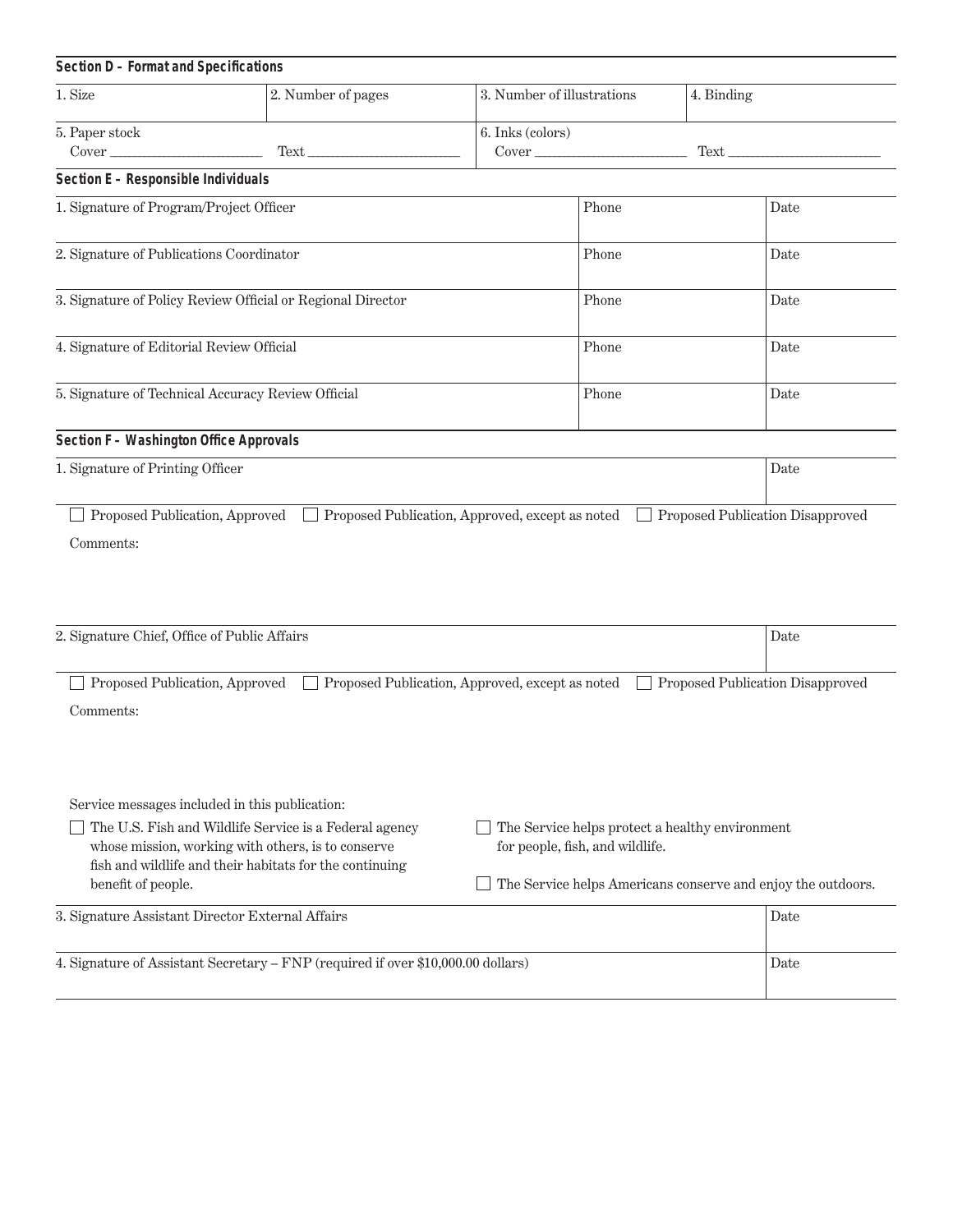| Section D - Format and Specifications                                                                                                                                                                                                           |                                                 |  |                                                                                    |      |                                                              |
|-------------------------------------------------------------------------------------------------------------------------------------------------------------------------------------------------------------------------------------------------|-------------------------------------------------|--|------------------------------------------------------------------------------------|------|--------------------------------------------------------------|
| 1. Size                                                                                                                                                                                                                                         | 2. Number of pages                              |  | 3. Number of illustrations<br>4. Binding                                           |      |                                                              |
| 5. Paper stock                                                                                                                                                                                                                                  |                                                 |  | 6. Inks (colors)                                                                   |      |                                                              |
| Section E - Responsible Individuals                                                                                                                                                                                                             |                                                 |  |                                                                                    |      |                                                              |
| 1. Signature of Program/Project Officer                                                                                                                                                                                                         |                                                 |  | Phone                                                                              |      | Date                                                         |
| 2. Signature of Publications Coordinator                                                                                                                                                                                                        |                                                 |  | Phone                                                                              |      | Date                                                         |
| 3. Signature of Policy Review Official or Regional Director                                                                                                                                                                                     |                                                 |  | Phone                                                                              |      | Date                                                         |
| 4. Signature of Editorial Review Official                                                                                                                                                                                                       |                                                 |  | Phone                                                                              |      | Date                                                         |
| 5. Signature of Technical Accuracy Review Official                                                                                                                                                                                              |                                                 |  | Phone                                                                              |      | Date                                                         |
| <b>Section F - Washington Office Approvals</b>                                                                                                                                                                                                  |                                                 |  |                                                                                    |      |                                                              |
| 1. Signature of Printing Officer                                                                                                                                                                                                                |                                                 |  |                                                                                    |      | Date                                                         |
| Comments:                                                                                                                                                                                                                                       |                                                 |  |                                                                                    |      |                                                              |
| 2. Signature Chief, Office of Public Affairs                                                                                                                                                                                                    |                                                 |  |                                                                                    | Date |                                                              |
| Proposed Publication, Approved<br>Comments:                                                                                                                                                                                                     | Proposed Publication, Approved, except as noted |  |                                                                                    |      | Proposed Publication Disapproved                             |
| Service messages included in this publication:<br>The U.S. Fish and Wildlife Service is a Federal agency<br>whose mission, working with others, is to conserve<br>fish and wildlife and their habitats for the continuing<br>benefit of people. |                                                 |  | The Service helps protect a healthy environment<br>for people, fish, and wildlife. |      | The Service helps Americans conserve and enjoy the outdoors. |
| 3. Signature Assistant Director External Affairs                                                                                                                                                                                                |                                                 |  |                                                                                    |      | Date                                                         |
| 4. Signature of Assistant Secretary - FNP (required if over \$10,000.00 dollars)                                                                                                                                                                |                                                 |  |                                                                                    |      | Date                                                         |

 $\overline{\phantom{a}}$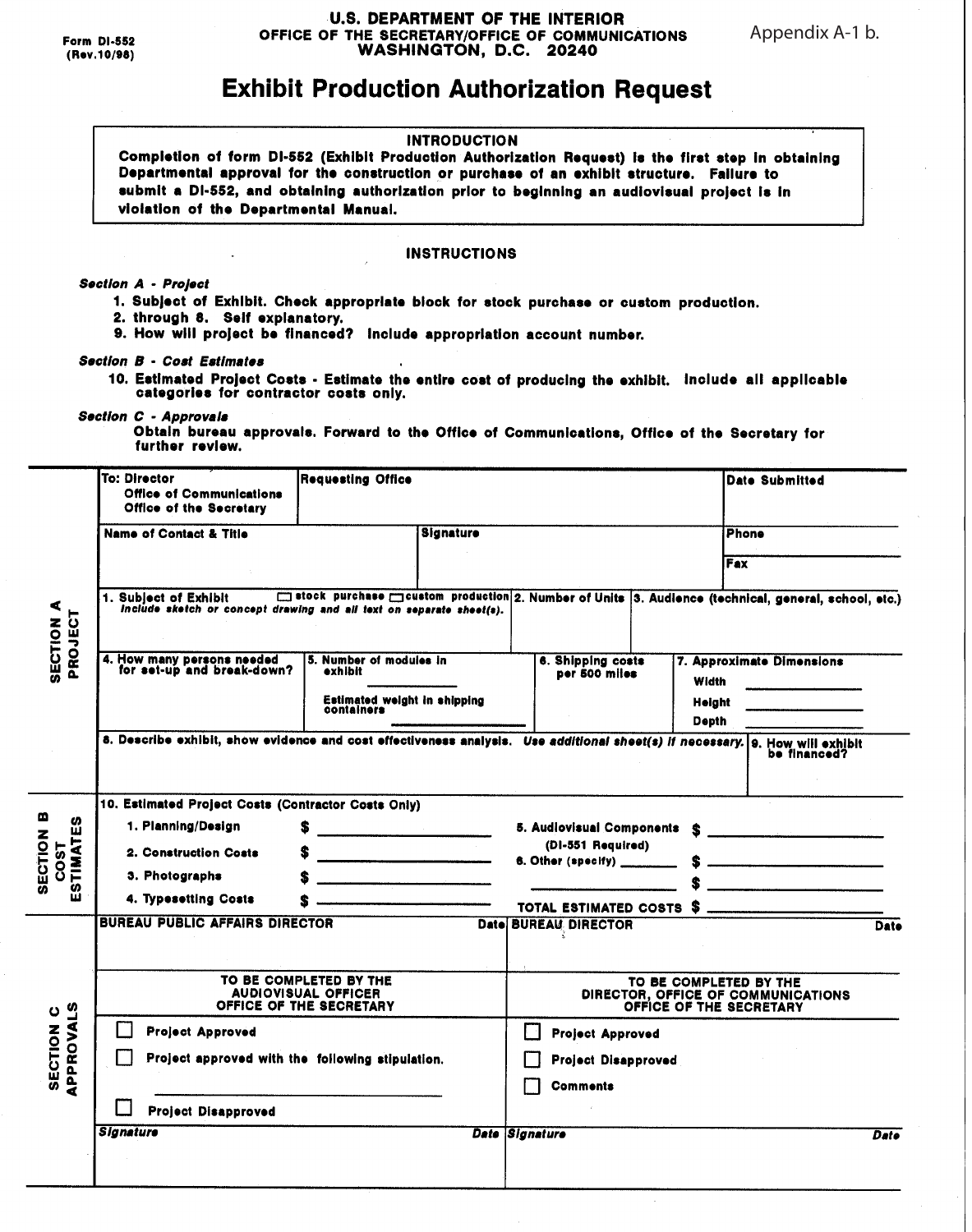#### **U.S. DEPARTMENT OF THE INTERIOR** OFFICE OF THE SECRETARY/OFFICE OF COMMUNICATIONS WASHINGTON, D.C. 20240

Appendix A-1 b.

# **Exhibit Production Authorization Request**

#### **INTRODUCTION**

Completion of form DI-552 (Exhibit Production Authorization Request) is the first step in obtaining Departmental approval for the construction or purchase of an exhibit structure. Failure to submit a DI-552, and obtaining authorization prior to beginning an audiovisual project is in violation of the Departmental Manual.

#### **INSTRUCTIONS**

#### **Section A - Project**

- 1. Subject of Exhibit. Check appropriate block for stock purchase or custom production.
- 2. through 8. Self explanatory.
- 9. How will project be financed? Include appropriation account number.

#### **Section B - Cost Estimates**

10. Estimated Project Costs - Estimate the entire cost of producing the exhibit. Include all applicable categories for contractor costs only.

#### Section C - Approvals

Obtain bureau approvals. Forward to the Office of Communications, Office of the Secretary for further review.

|                                                       | <b>To: Director</b><br><b>Office of Communications</b><br>Office of the Secretary                                                                                                                       | <b>Requesting Office</b>                                |                                                                                         |                             |                                    | Date Submitted         |                                                                                                                                                    |             |  |  |
|-------------------------------------------------------|---------------------------------------------------------------------------------------------------------------------------------------------------------------------------------------------------------|---------------------------------------------------------|-----------------------------------------------------------------------------------------|-----------------------------|------------------------------------|------------------------|----------------------------------------------------------------------------------------------------------------------------------------------------|-------------|--|--|
|                                                       | <b>Name of Contact &amp; Title</b>                                                                                                                                                                      |                                                         | <b>Signature</b>                                                                        |                             |                                    |                        | <b>Phone</b>                                                                                                                                       |             |  |  |
|                                                       |                                                                                                                                                                                                         |                                                         |                                                                                         |                             |                                    | Fax                    |                                                                                                                                                    |             |  |  |
| <b>SECTION A</b><br>PROJECT                           | □ stock purchase □ custom production 2. Number of Units 3. Audience (technical, general, school, etc.)<br>1. Subject of Exhibit<br>include sketch or concept drawing and all text on separate sheet(s). |                                                         |                                                                                         |                             |                                    |                        |                                                                                                                                                    |             |  |  |
|                                                       | 4. How many persons needed<br>for set-up and break-down?                                                                                                                                                | 5. Number of modules in<br>exhibit                      |                                                                                         |                             | 6. Shipping costs<br>per 500 miles | Width                  | 7. Approximate Dimensions<br><u> 1989 - John Harry Harry Harry Harry Harry Harry Harry Harry Harry Harry Harry Harry Harry Harry Harry Harry H</u> |             |  |  |
|                                                       |                                                                                                                                                                                                         | Estimated weight in shipping<br>containers              |                                                                                         |                             |                                    | Height<br><b>Depth</b> |                                                                                                                                                    |             |  |  |
|                                                       | 8. Describe exhibit, show evidence and cost effectiveness analysis. Use additional sheet(s) if necessary. 9. How will exhibit                                                                           |                                                         |                                                                                         |                             |                                    |                        | be financed?                                                                                                                                       |             |  |  |
| <b>SECTION B</b><br><u>က</u><br><b>STIMAT</b><br>COST |                                                                                                                                                                                                         | 10. Estimated Project Costs (Contractor Costs Only)     |                                                                                         |                             |                                    |                        |                                                                                                                                                    |             |  |  |
|                                                       | 1. Planning/Design                                                                                                                                                                                      | S                                                       |                                                                                         |                             |                                    |                        | 5. Audiovisual Components \$                                                                                                                       |             |  |  |
|                                                       | 2. Construction Costs                                                                                                                                                                                   | s                                                       |                                                                                         |                             | (DI-551 Required)                  |                        |                                                                                                                                                    |             |  |  |
|                                                       | 3. Photographs                                                                                                                                                                                          | <u>-anti-de-communication of the communication</u><br>S |                                                                                         |                             |                                    |                        |                                                                                                                                                    |             |  |  |
| ш                                                     | 4. Typesetting Costs                                                                                                                                                                                    |                                                         |                                                                                         |                             |                                    |                        |                                                                                                                                                    |             |  |  |
|                                                       | <b>BUREAU PUBLIC AFFAIRS DIRECTOR</b>                                                                                                                                                                   |                                                         |                                                                                         | <b>Date BUREAU DIRECTOR</b> |                                    |                        | TOTAL ESTIMATED COSTS \$                                                                                                                           | <b>Date</b> |  |  |
| APPROVALS<br>SECTION <sub>C</sub>                     | TO BE COMPLETED BY THE<br><b>AUDIOVISUAL OFFICER</b><br>OFFICE OF THE SECRETARY                                                                                                                         |                                                         | TO BE COMPLETED BY THE<br>DIRECTOR, OFFICE OF COMMUNICATIONS<br>OFFICE OF THE SECRETARY |                             |                                    |                        |                                                                                                                                                    |             |  |  |
|                                                       | <b>Project Approved</b>                                                                                                                                                                                 |                                                         |                                                                                         | П                           | <b>Project Approved</b>            |                        |                                                                                                                                                    |             |  |  |
|                                                       | Project approved with the following stipulation.                                                                                                                                                        |                                                         |                                                                                         |                             | <b>Project Disapproved</b>         |                        |                                                                                                                                                    |             |  |  |
|                                                       | <b>Project Disapproved</b>                                                                                                                                                                              |                                                         |                                                                                         | <b>Comments</b>             |                                    |                        |                                                                                                                                                    |             |  |  |
|                                                       | Signature                                                                                                                                                                                               |                                                         |                                                                                         | Date Signature              |                                    |                        |                                                                                                                                                    | Date        |  |  |
|                                                       |                                                                                                                                                                                                         |                                                         |                                                                                         |                             |                                    |                        |                                                                                                                                                    |             |  |  |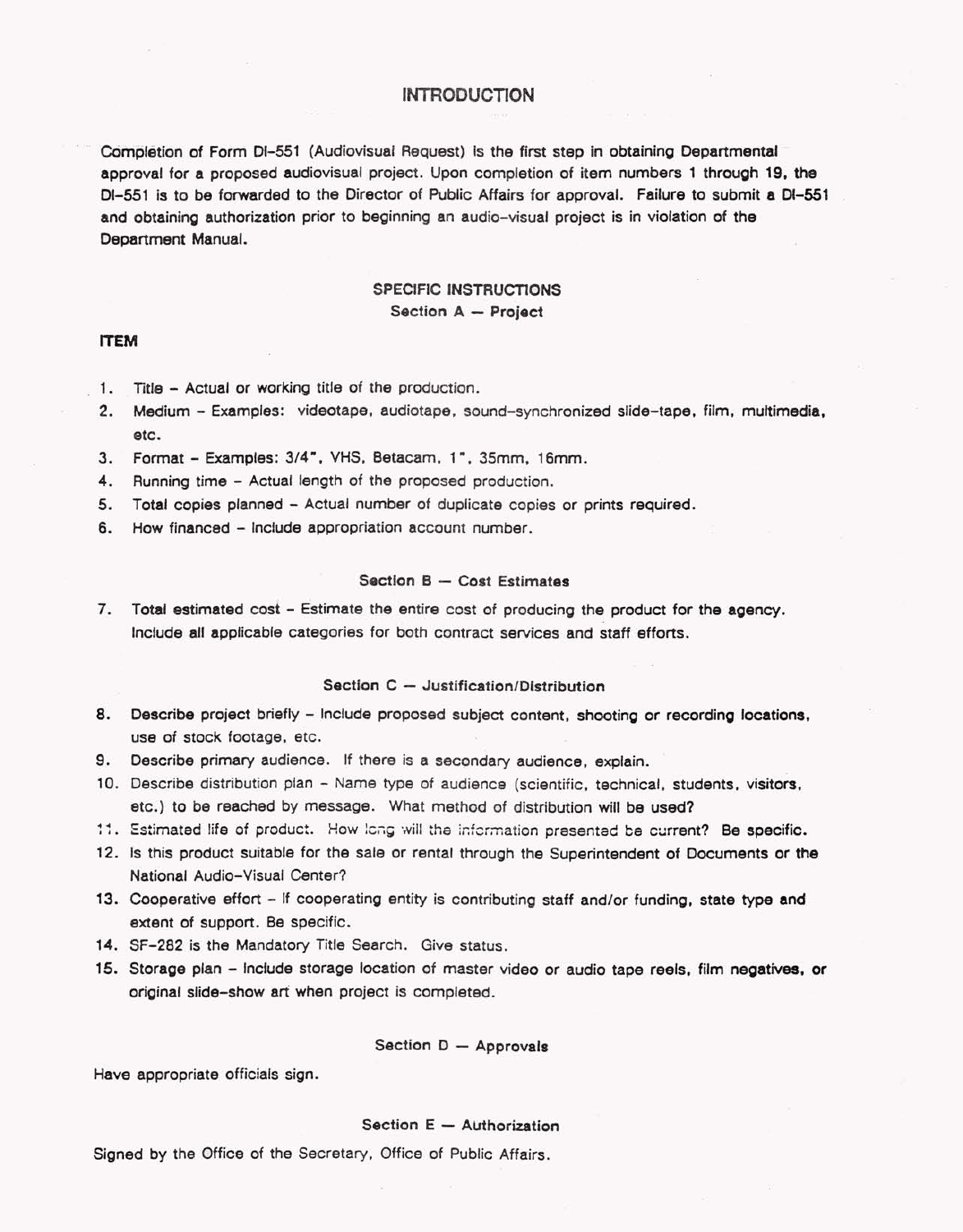### **INTRODUCTION**

Completion of Form DI-551 (Audiovisual Request) is the first step in obtaining Departmental approval for a proposed audiovisual project. Upon completion of item numbers 1 through 19, the DI-551 is to be forwarded to the Director of Public Affairs for approval. Failure to submit a DI-551 and obtaining authorization prior to beginning an audio-visual project is in violation of the Department Manual.

## **SPECIFIC INSTRUCTIONS** Section A - Project

### **ITEM**

- 1. Title Actual or working title of the production.
- Medium Examples: videotape, audiotape, sound-synchronized slide-tape, film, multimedia,  $2.$ etc.
- 3. Format Examples: 3/4", VHS, Betacam, 1", 35mm, 16mm.
- $4.$ Running time - Actual length of the proposed production.
- 5. Total copies planned Actual number of duplicate copies or prints required.
- 6. How financed Include appropriation account number.

#### Section B - Cost Estimates

7. Total estimated cost - Estimate the entire cost of producing the product for the agency. Include all applicable categories for both contract services and staff efforts.

#### Section C - Justification/Distribution

- 8. Describe project briefly Include proposed subject content, shooting or recording locations, use of stock footage, etc.
- Describe primary audience. If there is a secondary audience, explain. 9.
- 10. Describe distribution plan Name type of audience (scientific, technical, students, visitors, etc.) to be reached by message. What method of distribution will be used?
- 11. Estimated life of product. How long will the information presented be current? Be specific.
- 12. Is this product suitable for the sale or rental through the Superintendent of Documents or the National Audio-Visual Center?
- 13. Cooperative effort If cooperating entity is contributing staff and/or funding, state type and extent of support. Be specific.
- 14. SF-282 is the Mandatory Title Search. Give status.
- 15. Storage plan include storage location of master video or audio tape reels, film negatives, or original slide-show art when project is completed.

#### Section D - Approvals

Have appropriate officials sign.

#### Section E - Authorization

Signed by the Office of the Secretary, Office of Public Affairs.